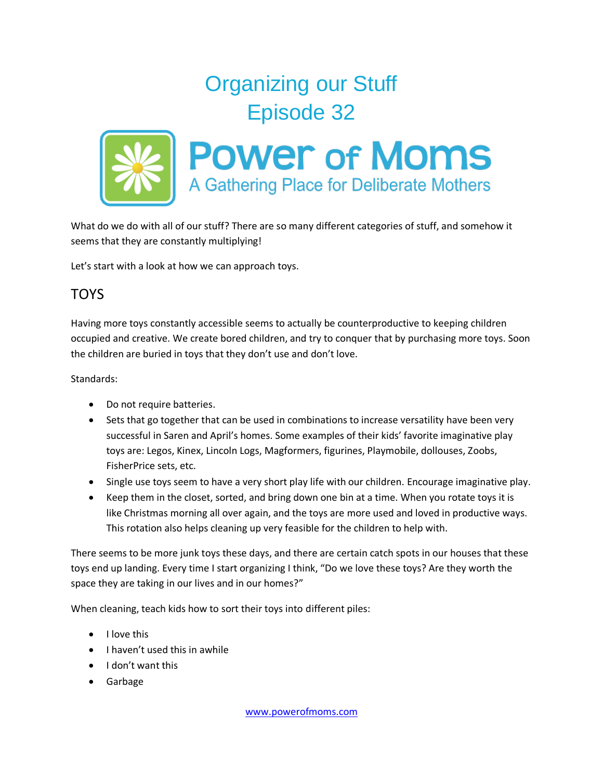## Organizing our Stuff Episode 32



What do we do with all of our stuff? There are so many different categories of stuff, and somehow it seems that they are constantly multiplying!

Let's start with a look at how we can approach toys.

## **TOYS**

Having more toys constantly accessible seems to actually be counterproductive to keeping children occupied and creative. We create bored children, and try to conquer that by purchasing more toys. Soon the children are buried in toys that they don't use and don't love.

Standards:

- Do not require batteries.
- Sets that go together that can be used in combinations to increase versatility have been very successful in Saren and April's homes. Some examples of their kids' favorite imaginative play toys are: Legos, Kinex, Lincoln Logs, Magformers, figurines, Playmobile, dollouses, Zoobs, FisherPrice sets, etc.
- Single use toys seem to have a very short play life with our children. Encourage imaginative play.
- Keep them in the closet, sorted, and bring down one bin at a time. When you rotate toys it is like Christmas morning all over again, and the toys are more used and loved in productive ways. This rotation also helps cleaning up very feasible for the children to help with.

There seems to be more junk toys these days, and there are certain catch spots in our houses that these toys end up landing. Every time I start organizing I think, "Do we love these toys? Are they worth the space they are taking in our lives and in our homes?"

When cleaning, teach kids how to sort their toys into different piles:

- $\bullet$  I love this
- $\bullet$  I haven't used this in awhile
- I don't want this
- Garbage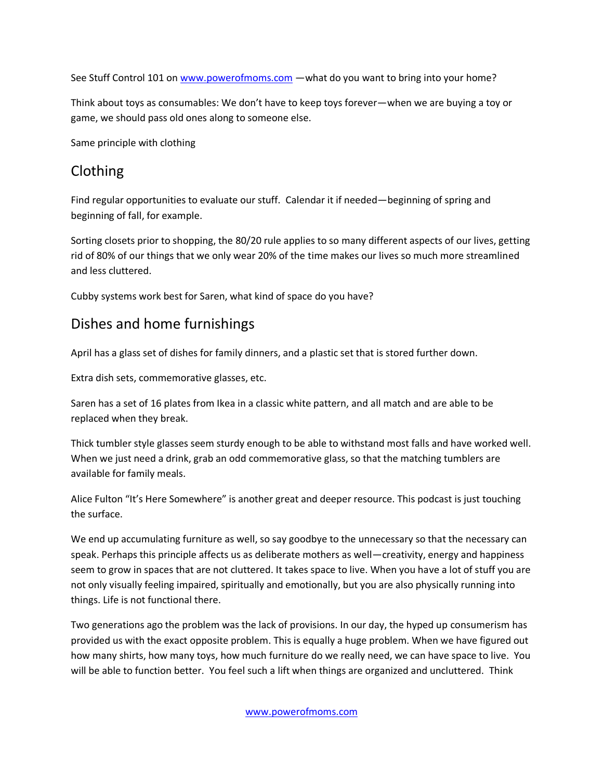See Stuff Control 101 on [www.powerofmoms.com](http://www.powerofmoms.com/) —what do you want to bring into your home?

Think about toys as consumables: We don't have to keep toys forever—when we are buying a toy or game, we should pass old ones along to someone else.

Same principle with clothing

## Clothing

Find regular opportunities to evaluate our stuff. Calendar it if needed—beginning of spring and beginning of fall, for example.

Sorting closets prior to shopping, the 80/20 rule applies to so many different aspects of our lives, getting rid of 80% of our things that we only wear 20% of the time makes our lives so much more streamlined and less cluttered.

Cubby systems work best for Saren, what kind of space do you have?

## Dishes and home furnishings

April has a glass set of dishes for family dinners, and a plastic set that is stored further down.

Extra dish sets, commemorative glasses, etc.

Saren has a set of 16 plates from Ikea in a classic white pattern, and all match and are able to be replaced when they break.

Thick tumbler style glasses seem sturdy enough to be able to withstand most falls and have worked well. When we just need a drink, grab an odd commemorative glass, so that the matching tumblers are available for family meals.

Alice Fulton "It's Here Somewhere" is another great and deeper resource. This podcast is just touching the surface.

We end up accumulating furniture as well, so say goodbye to the unnecessary so that the necessary can speak. Perhaps this principle affects us as deliberate mothers as well—creativity, energy and happiness seem to grow in spaces that are not cluttered. It takes space to live. When you have a lot of stuff you are not only visually feeling impaired, spiritually and emotionally, but you are also physically running into things. Life is not functional there.

Two generations ago the problem was the lack of provisions. In our day, the hyped up consumerism has provided us with the exact opposite problem. This is equally a huge problem. When we have figured out how many shirts, how many toys, how much furniture do we really need, we can have space to live. You will be able to function better. You feel such a lift when things are organized and uncluttered. Think